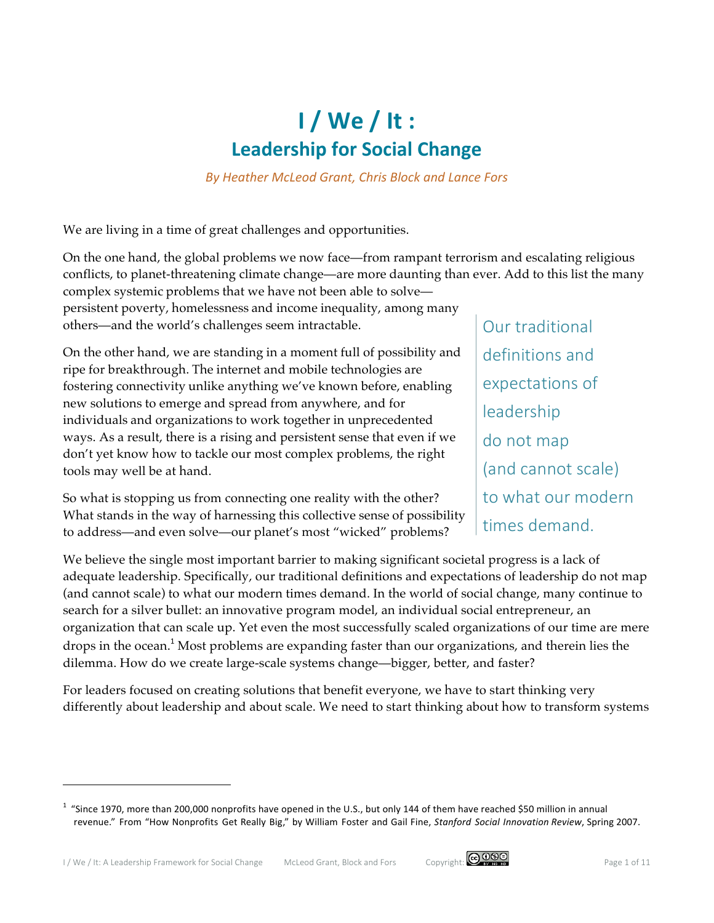# **I / We / It : Leadership for Social Change**

*By Heather McLeod Grant, Chris Block and Lance Fors*

We are living in a time of great challenges and opportunities.

On the one hand, the global problems we now face—from rampant terrorism and escalating religious conflicts, to planet-threatening climate change—are more daunting than ever. Add to this list the many complex systemic problems that we have not been able to solve—

persistent poverty, homelessness and income inequality, among many others—and the world's challenges seem intractable.

On the other hand, we are standing in a moment full of possibility and ripe for breakthrough. The internet and mobile technologies are fostering connectivity unlike anything we've known before, enabling new solutions to emerge and spread from anywhere, and for individuals and organizations to work together in unprecedented ways. As a result, there is a rising and persistent sense that even if we don't yet know how to tackle our most complex problems, the right tools may well be at hand.

So what is stopping us from connecting one reality with the other? What stands in the way of harnessing this collective sense of possibility to address—and even solve—our planet's most "wicked" problems?

Our traditional definitions and expectations of leadership do not map (and cannot scale) to what our modern times demand.

We believe the single most important barrier to making significant societal progress is a lack of adequate leadership. Specifically, our traditional definitions and expectations of leadership do not map (and cannot scale) to what our modern times demand. In the world of social change, many continue to search for a silver bullet: an innovative program model, an individual social entrepreneur, an organization that can scale up. Yet even the most successfully scaled organizations of our time are mere drops in the ocean. <sup>1</sup> Most problems are expanding faster than our organizations, and therein lies the dilemma. How do we create large-scale systems change—bigger, better, and faster?

For leaders focused on creating solutions that benefit everyone, we have to start thinking very differently about leadership and about scale. We need to start thinking about how to transform systems



<sup>&</sup>lt;sup>1</sup> "Since 1970, more than 200,000 nonprofits have opened in the U.S., but only 144 of them have reached \$50 million in annual revenue." From "How Nonprofits Get Really Big," by William Foster and Gail Fine, *Stanford Social Innovation Review*, Spring 2007.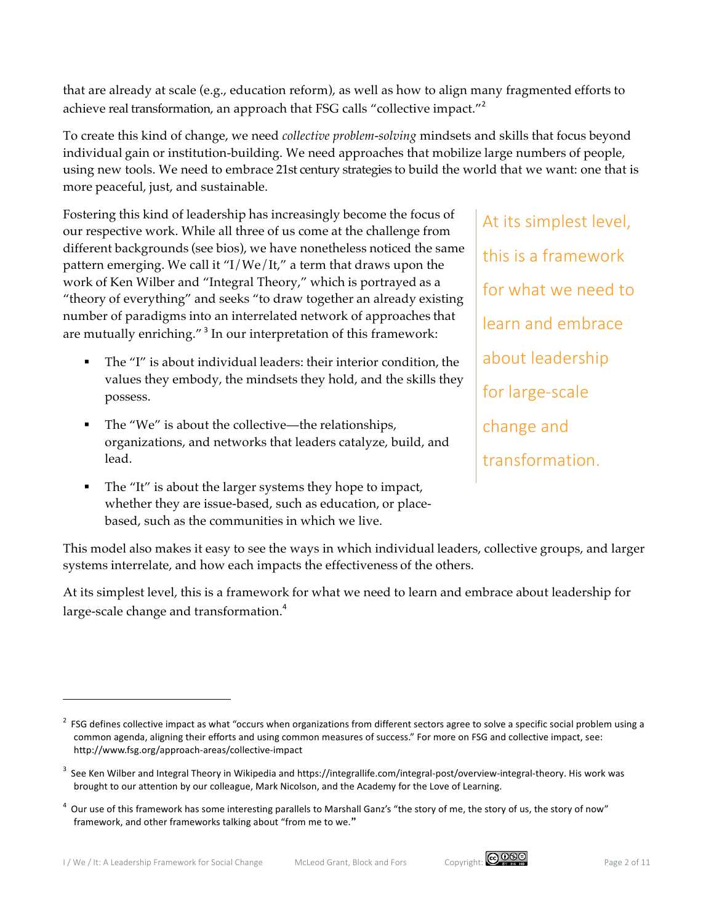that are already at scale (e.g., education reform), as well as how to align many fragmented efforts to achieve real transformation, an approach that FSG calls "collective impact."<sup>2</sup>

To create this kind of change, we need *collective problem-solving* mindsets and skills that focus beyond individual gain or institution-building. We need approaches that mobilize large numbers of people, using new tools. We need to embrace 21st century strategies to build the world that we want: one that is more peaceful, just, and sustainable.

Fostering this kind of leadership has increasingly become the focus of our respective work. While all three of us come at the challenge from different backgrounds (see bios), we have nonetheless noticed the same pattern emerging. We call it "I/We/It," a term that draws upon the work of Ken Wilber and "Integral Theory," which is portrayed as a "theory of everything" and seeks "to draw together an already existing number of paradigms into an interrelated network of approaches that are mutually enriching."<sup>3</sup> In our interpretation of this framework:

- The "I" is about individual leaders: their interior condition, the values they embody, the mindsets they hold, and the skills they possess.
- The "We" is about the collective—the relationships, organizations, and networks that leaders catalyze, build, and lead.
- The "It" is about the larger systems they hope to impact, whether they are issue-based, such as education, or placebased, such as the communities in which we live.

At its simplest level, this is a framework for what we need to learn and embrace about leadership for large-scale change and transformation.

This model also makes it easy to see the ways in which individual leaders, collective groups, and larger systems interrelate, and how each impacts the effectiveness of the others.

At its simplest level, this is a framework for what we need to learn and embrace about leadership for large-scale change and transformation.<sup>4</sup>



 $^2$  FSG defines collective impact as what "occurs when organizations from different sectors agree to solve a specific social problem using a common agenda, aligning their efforts and using common measures of success." For more on FSG and collective impact, see: http://www.fsg.org/approach-areas/collective-impact

 $^3$  See Ken Wilber and Integral Theory in Wikipedia and https://integrallife.com/integral-post/overview-integral-theory. His work was brought to our attention by our colleague, Mark Nicolson, and the Academy for the Love of Learning.

 $^4$  Our use of this framework has some interesting parallels to Marshall Ganz's "the story of me, the story of us, the story of now" framework, and other frameworks talking about "from me to we."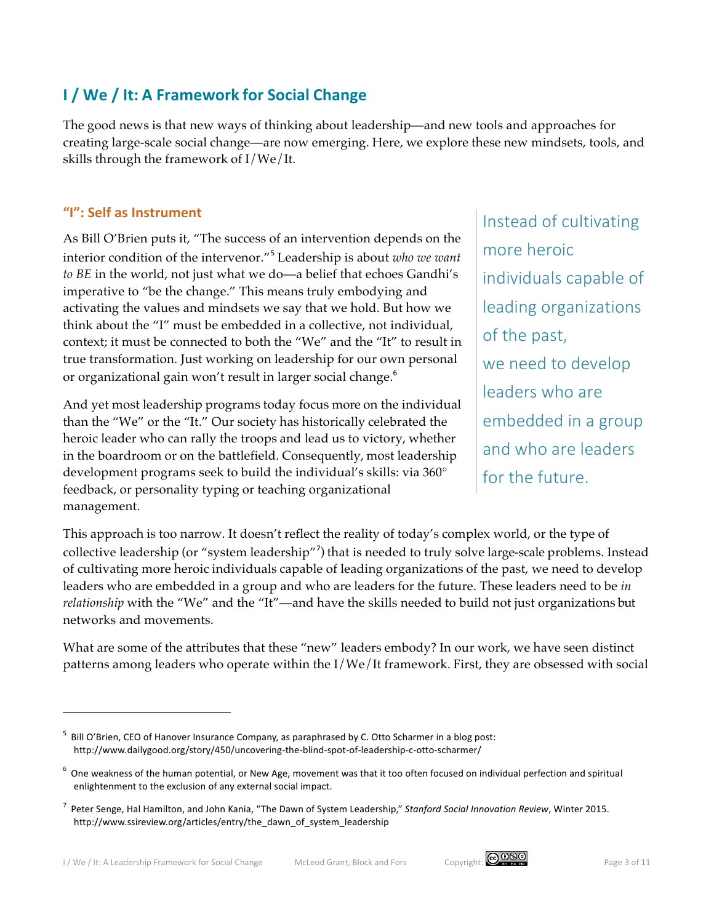# **I / We / It: A Framework for Social Change**

The good news is that new ways of thinking about leadership—and new tools and approaches for creating large-scale social change—are now emerging. Here, we explore these new mindsets, tools, and skills through the framework of I/We/It.

#### **"I": Self as Instrument**

 $\overline{a}$ 

As Bill O'Brien puts it, "The success of an intervention depends on the interior condition of the intervenor."<sup>5</sup> Leadership is about *who we want to BE* in the world, not just what we do—a belief that echoes Gandhi's imperative to "be the change." This means truly embodying and activating the values and mindsets we say that we hold. But how we think about the "I" must be embedded in a collective, not individual, context; it must be connected to both the "We" and the "It" to result in true transformation. Just working on leadership for our own personal or organizational gain won't result in larger social change.<sup>6</sup>

And yet most leadership programs today focus more on the individual than the "We" or the "It." Our society has historically celebrated the heroic leader who can rally the troops and lead us to victory, whether in the boardroom or on the battlefield. Consequently, most leadership development programs seek to build the individual's skills: via 360° feedback, or personality typing or teaching organizational management.

Instead of cultivating more heroic individuals capable of leading organizations of the past, we need to develop leaders who are embedded in a group and who are leaders for the future.

This approach is too narrow. It doesn't reflect the reality of today's complex world, or the type of collective leadership (or "system leadership"<sup>7</sup>) that is needed to truly solve large-scale problems. Instead of cultivating more heroic individuals capable of leading organizations of the past, we need to develop leaders who are embedded in a group and who are leaders for the future. These leaders need to be *in relationship* with the "We" and the "It"—and have the skills needed to build not just organizations but networks and movements.

What are some of the attributes that these "new" leaders embody? In our work, we have seen distinct patterns among leaders who operate within the I/We/It framework. First, they are obsessed with social



<sup>5</sup> Bill O'Brien, CEO of Hanover Insurance Company, as paraphrased by C. Otto Scharmer in a blog post: http://www.dailygood.org/story/450/uncovering-the-blind-spot-of-leadership-c-otto-scharmer/

 $^6$  One weakness of the human potential, or New Age, movement was that it too often focused on individual perfection and spiritual enlightenment to the exclusion of any external social impact.

<sup>&</sup>lt;sup>7</sup> Peter Senge, Hal Hamilton, and John Kania, "The Dawn of System Leadership," Stanford Social Innovation Review, Winter 2015. http://www.ssireview.org/articles/entry/the\_dawn\_of\_system\_leadership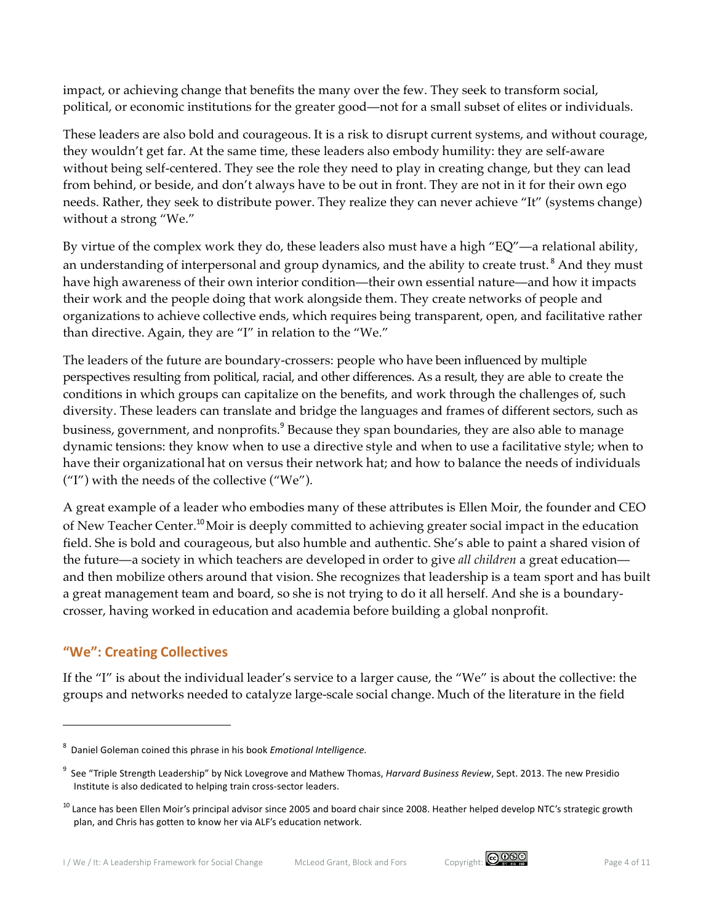impact, or achieving change that benefits the many over the few. They seek to transform social, political, or economic institutions for the greater good—not for a small subset of elites or individuals.

These leaders are also bold and courageous. It is a risk to disrupt current systems, and without courage, they wouldn't get far. At the same time, these leaders also embody humility: they are self-aware without being self-centered. They see the role they need to play in creating change, but they can lead from behind, or beside, and don't always have to be out in front. They are not in it for their own ego needs. Rather, they seek to distribute power. They realize they can never achieve "It" (systems change) without a strong "We."

By virtue of the complex work they do, these leaders also must have a high "EQ"—a relational ability, an understanding of interpersonal and group dynamics, and the ability to create trust.<sup>8</sup> And they must have high awareness of their own interior condition—their own essential nature—and how it impacts their work and the people doing that work alongside them. They create networks of people and organizations to achieve collective ends, which requires being transparent, open, and facilitative rather than directive. Again, they are "I" in relation to the "We."

The leaders of the future are boundary-crossers: people who have been influenced by multiple perspectives resulting from political, racial, and other differences. As a result, they are able to create the conditions in which groups can capitalize on the benefits, and work through the challenges of, such diversity. These leaders can translate and bridge the languages and frames of different sectors, such as business, government, and nonprofits.<sup>9</sup> Because they span boundaries, they are also able to manage dynamic tensions: they know when to use a directive style and when to use a facilitative style; when to have their organizational hat on versus their network hat; and how to balance the needs of individuals ("I") with the needs of the collective ("We").

A great example of a leader who embodies many of these attributes is Ellen Moir, the founder and CEO of New Teacher Center.<sup>10</sup> Moir is deeply committed to achieving greater social impact in the education field. She is bold and courageous, but also humble and authentic. She's able to paint a shared vision of the future—a society in which teachers are developed in order to give *all children* a great education and then mobilize others around that vision. She recognizes that leadership is a team sport and has built a great management team and board, so she is not trying to do it all herself. And she is a boundarycrosser, having worked in education and academia before building a global nonprofit.

### **"We": Creating Collectives**

 $\overline{\phantom{a}}$ 

If the "I" is about the individual leader's service to a larger cause, the "We" is about the collective: the groups and networks needed to catalyze large-scale social change. Much of the literature in the field



<sup>&</sup>lt;sup>8</sup> Daniel Goleman coined this phrase in his book *Emotional Intelligence.* 

<sup>&</sup>lt;sup>9</sup> See "Triple Strength Leadership" by Nick Lovegrove and Mathew Thomas, *Harvard Business Review*, Sept. 2013. The new Presidio Institute is also dedicated to helping train cross-sector leaders.

 $^{10}$  Lance has been Ellen Moir's principal advisor since 2005 and board chair since 2008. Heather helped develop NTC's strategic growth plan, and Chris has gotten to know her via ALF's education network.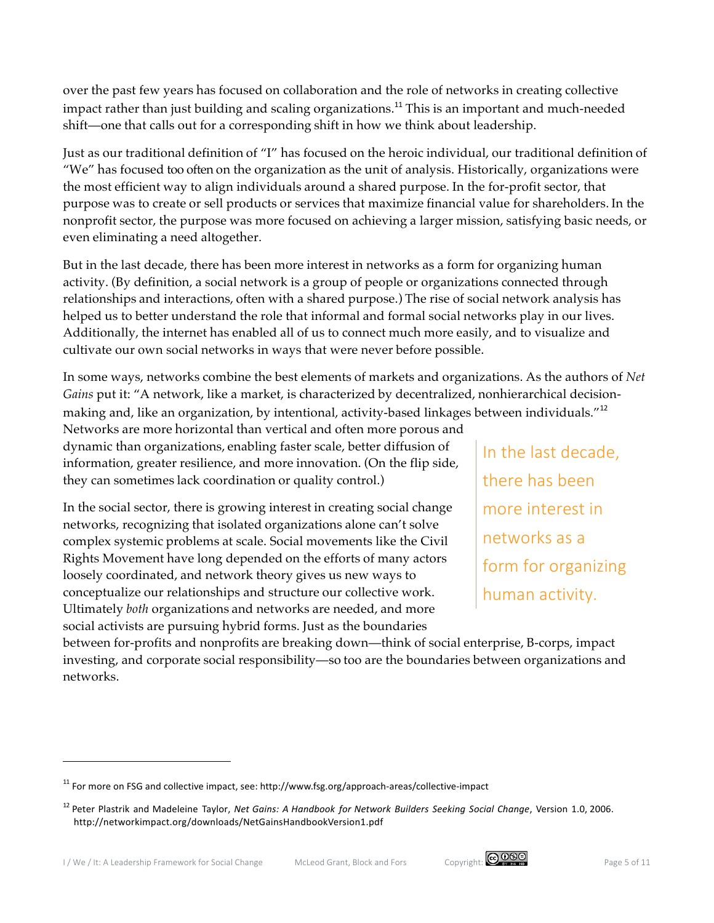over the past few years has focused on collaboration and the role of networks in creating collective impact rather than just building and scaling organizations.<sup>11</sup> This is an important and much-needed shift—one that calls out for a corresponding shift in how we think about leadership.

Just as our traditional definition of "I" has focused on the heroic individual, our traditional definition of "We" has focused too often on the organization as the unit of analysis. Historically, organizations were the most efficient way to align individuals around a shared purpose. In the for-profit sector, that purpose was to create or sell products or services that maximize financial value for shareholders. In the nonprofit sector, the purpose was more focused on achieving a larger mission, satisfying basic needs, or even eliminating a need altogether.

But in the last decade, there has been more interest in networks as a form for organizing human activity. (By definition, a social network is a group of people or organizations connected through relationships and interactions, often with a shared purpose.) The rise of social network analysis has helped us to better understand the role that informal and formal social networks play in our lives. Additionally, the internet has enabled all of us to connect much more easily, and to visualize and cultivate our own social networks in ways that were never before possible.

In some ways, networks combine the best elements of markets and organizations. As the authors of *Net Gains* put it: "A network, like a market, is characterized by decentralized, nonhierarchical decisionmaking and, like an organization, by intentional, activity-based linkages between individuals."<sup>12</sup>

Networks are more horizontal than vertical and often more porous and dynamic than organizations, enabling faster scale, better diffusion of information, greater resilience, and more innovation. (On the flip side, they can sometimes lack coordination or quality control.)

In the social sector, there is growing interest in creating social change networks, recognizing that isolated organizations alone can't solve complex systemic problems at scale. Social movements like the Civil Rights Movement have long depended on the efforts of many actors loosely coordinated, and network theory gives us new ways to conceptualize our relationships and structure our collective work. Ultimately *both* organizations and networks are needed, and more social activists are pursuing hybrid forms. Just as the boundaries

In the last decade, there has been more interest in networks as a form for organizing human activity.

between for-profits and nonprofits are breaking down—think of social enterprise, B-corps, impact investing, and corporate social responsibility—so too are the boundaries between organizations and networks.



 $11$  For more on FSG and collective impact, see: http://www.fsg.org/approach-areas/collective-impact

<sup>12</sup> Peter Plastrik and Madeleine Taylor, *Net Gains: A Handbook for Network Builders Seeking Social Change*, Version 1.0, 2006. http://networkimpact.org/downloads/NetGainsHandbookVersion1.pdf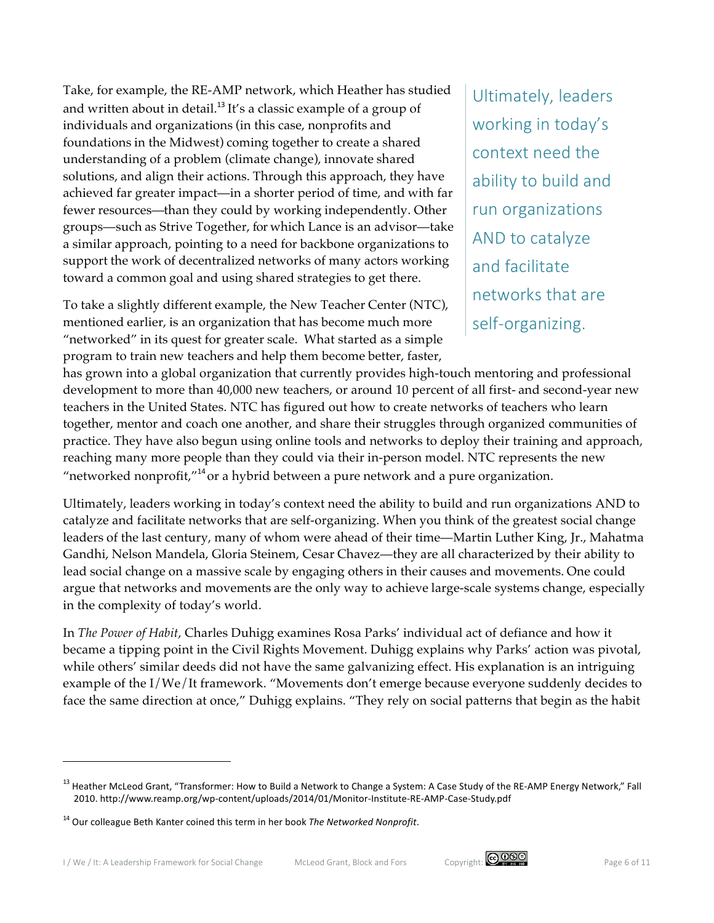Take, for example, the RE-AMP network, which Heather has studied and written about in detail.<sup>13</sup> It's a classic example of a group of individuals and organizations (in this case, nonprofits and foundations in the Midwest) coming together to create a shared understanding of a problem (climate change), innovate shared solutions, and align their actions. Through this approach, they have achieved far greater impact—in a shorter period of time, and with far fewer resources—than they could by working independently. Other groups—such as Strive Together, for which Lance is an advisor—take a similar approach, pointing to a need for backbone organizations to support the work of decentralized networks of many actors working toward a common goal and using shared strategies to get there.

To take a slightly different example, the New Teacher Center (NTC), mentioned earlier, is an organization that has become much more "networked" in its quest for greater scale. What started as a simple program to train new teachers and help them become better, faster,

Ultimately, leaders working in today's context need the ability to build and run organizations AND to catalyze and facilitate networks that are self-organizing.

has grown into a global organization that currently provides high-touch mentoring and professional development to more than 40,000 new teachers, or around 10 percent of all first- and second-year new teachers in the United States. NTC has figured out how to create networks of teachers who learn together, mentor and coach one another, and share their struggles through organized communities of practice. They have also begun using online tools and networks to deploy their training and approach, reaching many more people than they could via their in-person model. NTC represents the new "networked nonprofit, $14^4$ or a hybrid between a pure network and a pure organization.

Ultimately, leaders working in today's context need the ability to build and run organizations AND to catalyze and facilitate networks that are self-organizing. When you think of the greatest social change leaders of the last century, many of whom were ahead of their time—Martin Luther King, Jr., Mahatma Gandhi, Nelson Mandela, Gloria Steinem, Cesar Chavez—they are all characterized by their ability to lead social change on a massive scale by engaging others in their causes and movements. One could argue that networks and movements are the only way to achieve large-scale systems change, especially in the complexity of today's world.

In *The Power of Habit*, Charles Duhigg examines Rosa Parks' individual act of defiance and how it became a tipping point in the Civil Rights Movement. Duhigg explains why Parks' action was pivotal, while others' similar deeds did not have the same galvanizing effect. His explanation is an intriguing example of the I/We/It framework. "Movements don't emerge because everyone suddenly decides to face the same direction at once," Duhigg explains. "They rely on social patterns that begin as the habit



<sup>&</sup>lt;sup>13</sup> Heather McLeod Grant, "Transformer: How to Build a Network to Change a System: A Case Study of the RE-AMP Energy Network," Fall 2010. http://www.reamp.org/wp-content/uploads/2014/01/Monitor-Institute-RE-AMP-Case-Study.pdf

<sup>&</sup>lt;sup>14</sup> Our colleague Beth Kanter coined this term in her book *The Networked Nonprofit*.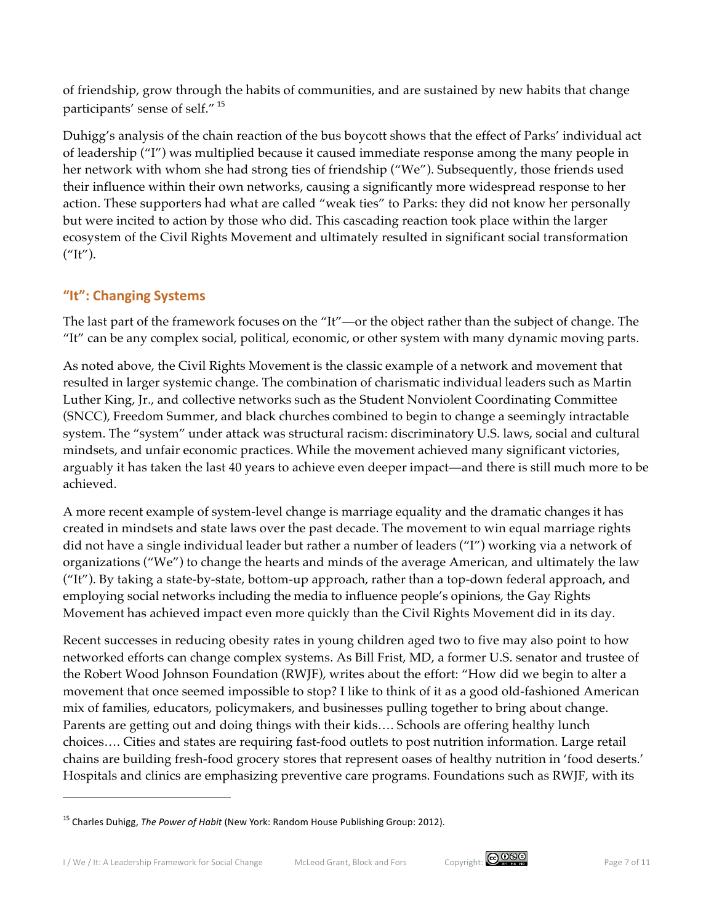of friendship, grow through the habits of communities, and are sustained by new habits that change participants' sense of self." <sup>15</sup>

Duhigg's analysis of the chain reaction of the bus boycott shows that the effect of Parks' individual act of leadership ("I") was multiplied because it caused immediate response among the many people in her network with whom she had strong ties of friendship ("We"). Subsequently, those friends used their influence within their own networks, causing a significantly more widespread response to her action. These supporters had what are called "weak ties" to Parks: they did not know her personally but were incited to action by those who did. This cascading reaction took place within the larger ecosystem of the Civil Rights Movement and ultimately resulted in significant social transformation  $("It")$ .

### **"It": Changing Systems**

 $\overline{a}$ 

The last part of the framework focuses on the "It"—or the object rather than the subject of change. The "It" can be any complex social, political, economic, or other system with many dynamic moving parts.

As noted above, the Civil Rights Movement is the classic example of a network and movement that resulted in larger systemic change. The combination of charismatic individual leaders such as Martin Luther King, Jr., and collective networks such as the Student Nonviolent Coordinating Committee (SNCC), Freedom Summer, and black churches combined to begin to change a seemingly intractable system. The "system" under attack was structural racism: discriminatory U.S. laws, social and cultural mindsets, and unfair economic practices. While the movement achieved many significant victories, arguably it has taken the last 40 years to achieve even deeper impact—and there is still much more to be achieved.

A more recent example of system-level change is marriage equality and the dramatic changes it has created in mindsets and state laws over the past decade. The movement to win equal marriage rights did not have a single individual leader but rather a number of leaders ("I") working via a network of organizations ("We") to change the hearts and minds of the average American, and ultimately the law ("It"). By taking a state-by-state, bottom-up approach, rather than a top-down federal approach, and employing social networks including the media to influence people's opinions, the Gay Rights Movement has achieved impact even more quickly than the Civil Rights Movement did in its day.

Recent successes in reducing obesity rates in young children aged two to five may also point to how networked efforts can change complex systems. As Bill Frist, MD, a former U.S. senator and trustee of the Robert Wood Johnson Foundation (RWJF), writes about the effort: "How did we begin to alter a movement that once seemed impossible to stop? I like to think of it as a good old-fashioned American mix of families, educators, policymakers, and businesses pulling together to bring about change. Parents are getting out and doing things with their kids…. Schools are offering healthy lunch choices…. Cities and states are requiring fast-food outlets to post nutrition information. Large retail chains are building fresh-food grocery stores that represent oases of healthy nutrition in 'food deserts.' Hospitals and clinics are emphasizing preventive care programs. Foundations such as RWJF, with its



<sup>&</sup>lt;sup>15</sup> Charles Duhigg, *The Power of Habit* (New York: Random House Publishing Group: 2012).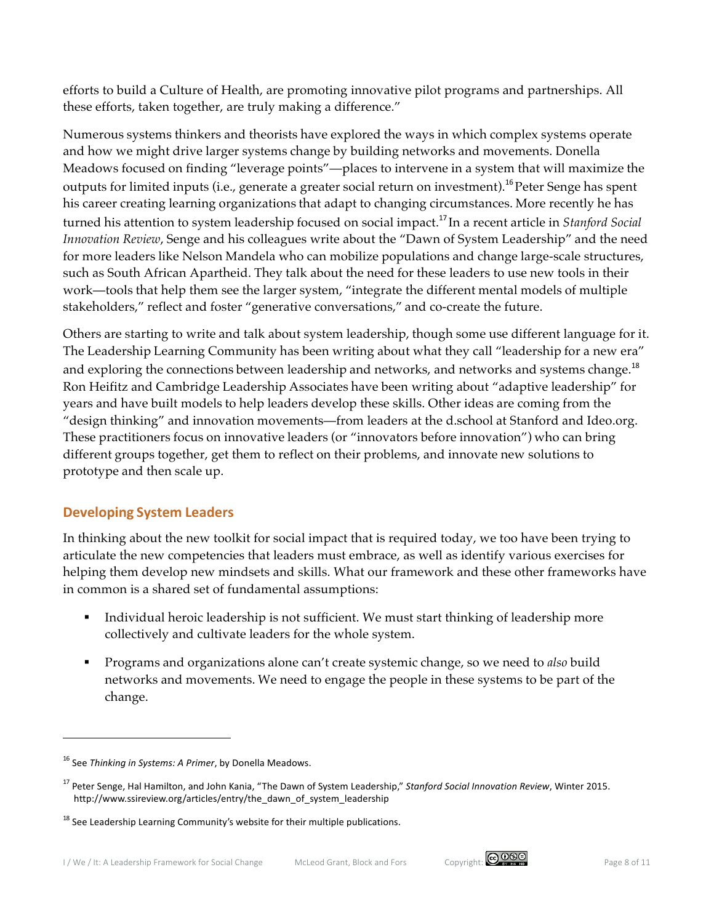efforts to build a Culture of Health, are promoting innovative pilot programs and partnerships. All these efforts, taken together, are truly making a difference."

Numerous systems thinkers and theorists have explored the ways in which complex systems operate and how we might drive larger systems change by building networks and movements. Donella Meadows focused on finding "leverage points"—places to intervene in a system that will maximize the outputs for limited inputs (i.e., generate a greater social return on investment).<sup>16</sup> Peter Senge has spent his career creating learning organizations that adapt to changing circumstances. More recently he has turned his attention to system leadership focused on social impact. <sup>17</sup> In a recent article in *Stanford Social Innovation Review*, Senge and his colleagues write about the "Dawn of System Leadership" and the need for more leaders like Nelson Mandela who can mobilize populations and change large-scale structures, such as South African Apartheid. They talk about the need for these leaders to use new tools in their work—tools that help them see the larger system, "integrate the different mental models of multiple stakeholders," reflect and foster "generative conversations," and co-create the future.

Others are starting to write and talk about system leadership, though some use different language for it. The Leadership Learning Community has been writing about what they call "leadership for a new era" and exploring the connections between leadership and networks, and networks and systems change.<sup>18</sup> Ron Heifitz and Cambridge Leadership Associates have been writing about "adaptive leadership" for years and have built models to help leaders develop these skills. Other ideas are coming from the "design thinking" and innovation movements—from leaders at the d.school at Stanford and Ideo.org. These practitioners focus on innovative leaders (or "innovators before innovation") who can bring different groups together, get them to reflect on their problems, and innovate new solutions to prototype and then scale up.

#### **Developing System Leaders**

In thinking about the new toolkit for social impact that is required today, we too have been trying to articulate the new competencies that leaders must embrace, as well as identify various exercises for helping them develop new mindsets and skills. What our framework and these other frameworks have in common is a shared set of fundamental assumptions:

- Individual heroic leadership is not sufficient. We must start thinking of leadership more collectively and cultivate leaders for the whole system.
- § Programs and organizations alone can't create systemic change, so we need to *also* build networks and movements. We need to engage the people in these systems to be part of the change.



<sup>&</sup>lt;sup>16</sup> See *Thinking in Systems: A Primer*, by Donella Meadows.

<sup>&</sup>lt;sup>17</sup> Peter Senge, Hal Hamilton, and John Kania, "The Dawn of System Leadership," Stanford Social Innovation Review, Winter 2015. http://www.ssireview.org/articles/entry/the\_dawn\_of\_system\_leadership

 $18$  See Leadership Learning Community's website for their multiple publications.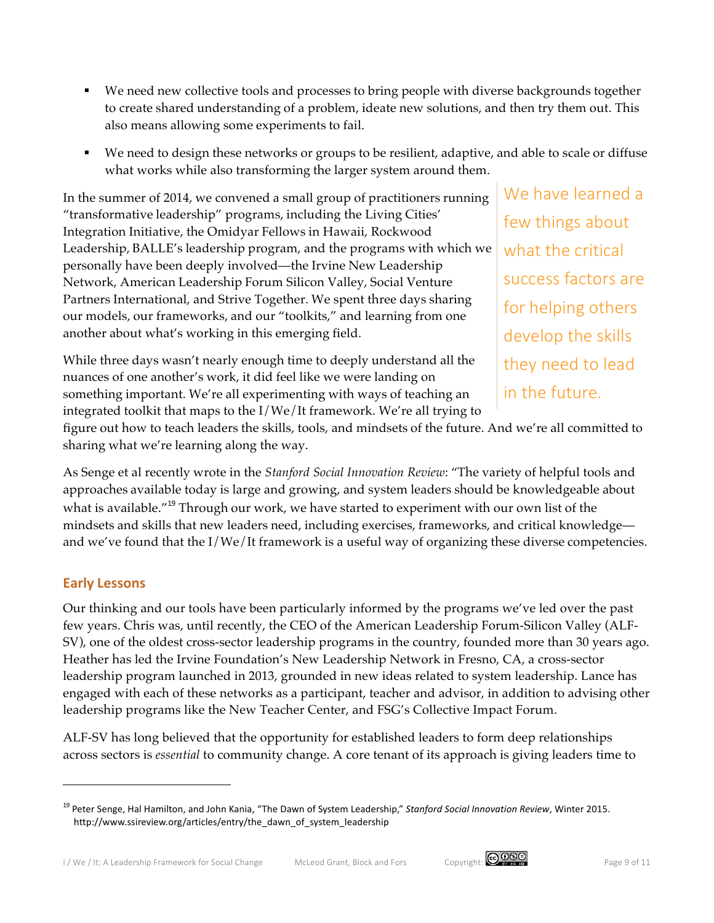- We need new collective tools and processes to bring people with diverse backgrounds together to create shared understanding of a problem, ideate new solutions, and then try them out. This also means allowing some experiments to fail.
- We need to design these networks or groups to be resilient, adaptive, and able to scale or diffuse what works while also transforming the larger system around them.

In the summer of 2014, we convened a small group of practitioners running "transformative leadership" programs, including the Living Cities' Integration Initiative, the Omidyar Fellows in Hawaii, Rockwood Leadership, BALLE's leadership program, and the programs with which we personally have been deeply involved—the Irvine New Leadership Network, American Leadership Forum Silicon Valley, Social Venture Partners International, and Strive Together. We spent three days sharing our models, our frameworks, and our "toolkits," and learning from one another about what's working in this emerging field.

While three days wasn't nearly enough time to deeply understand all the nuances of one another's work, it did feel like we were landing on something important. We're all experimenting with ways of teaching an integrated toolkit that maps to the I/We/It framework. We're all trying to

We have learned a few things about what the critical success factors are for helping others develop the skills they need to lead in the future.

figure out how to teach leaders the skills, tools, and mindsets of the future. And we're all committed to sharing what we're learning along the way.

As Senge et al recently wrote in the *Stanford Social Innovation Review*: "The variety of helpful tools and approaches available today is large and growing, and system leaders should be knowledgeable about what is available.<sup>"19</sup> Through our work, we have started to experiment with our own list of the mindsets and skills that new leaders need, including exercises, frameworks, and critical knowledge and we've found that the I/We/It framework is a useful way of organizing these diverse competencies.

### **Early Lessons**

 $\overline{a}$ 

Our thinking and our tools have been particularly informed by the programs we've led over the past few years. Chris was, until recently, the CEO of the American Leadership Forum-Silicon Valley (ALF-SV), one of the oldest cross-sector leadership programs in the country, founded more than 30 years ago. Heather has led the Irvine Foundation's New Leadership Network in Fresno, CA, a cross-sector leadership program launched in 2013, grounded in new ideas related to system leadership. Lance has engaged with each of these networks as a participant, teacher and advisor, in addition to advising other leadership programs like the New Teacher Center, and FSG's Collective Impact Forum.

ALF-SV has long believed that the opportunity for established leaders to form deep relationships across sectors is *essential* to community change. A core tenant of its approach is giving leaders time to



<sup>&</sup>lt;sup>19</sup> Peter Senge, Hal Hamilton, and John Kania, "The Dawn of System Leadership," Stanford Social Innovation Review, Winter 2015. http://www.ssireview.org/articles/entry/the\_dawn\_of\_system\_leadership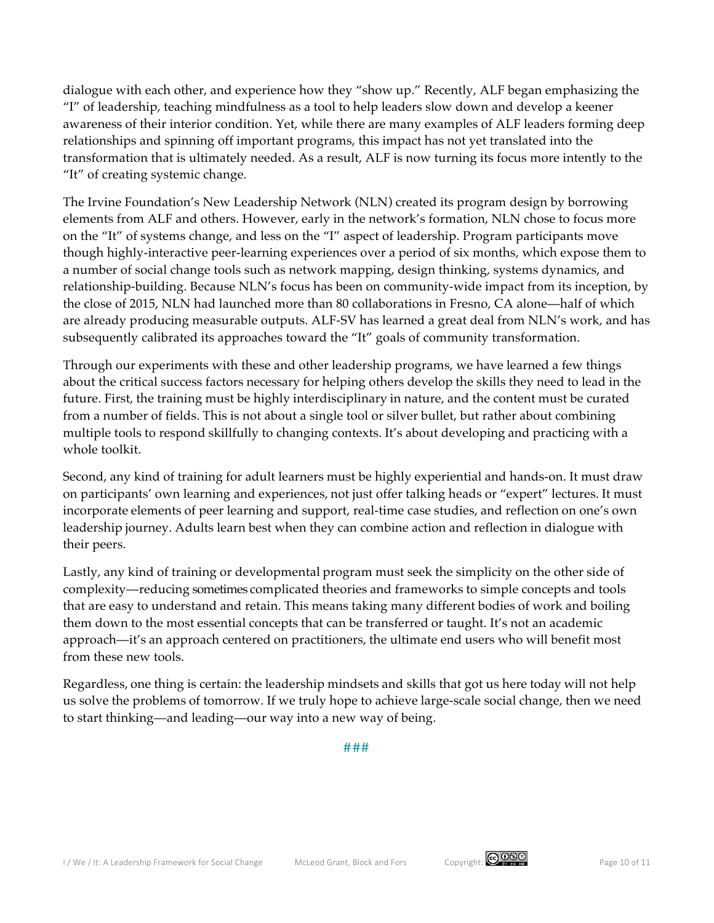dialogue with each other, and experience how they "show up." Recently, ALF began emphasizing the "I" of leadership, teaching mindfulness as a tool to help leaders slow down and develop a keener awareness of their interior condition. Yet, while there are many examples of ALF leaders forming deep relationships and spinning off important programs, this impact has not yet translated into the transformation that is ultimately needed. As a result, ALF is now turning its focus more intently to the "It" of creating systemic change.

The Irvine Foundation's New Leadership Network (NLN) created its program design by borrowing elements from ALF and others. However, early in the network's formation, NLN chose to focus more on the "It" of systems change, and less on the "I" aspect of leadership. Program participants move though highly-interactive peer-learning experiences over a period of six months, which expose them to a number of social change tools such as network mapping, design thinking, systems dynamics, and relationship-building. Because NLN's focus has been on community-wide impact from its inception, by the close of 2015, NLN had launched more than 80 collaborations in Fresno, CA alone—half of which are already producing measurable outputs. ALF-SV has learned a great deal from NLN's work, and has subsequently calibrated its approaches toward the "It" goals of community transformation.

Through our experiments with these and other leadership programs, we have learned a few things about the critical success factors necessary for helping others develop the skills they need to lead in the future. First, the training must be highly interdisciplinary in nature, and the content must be curated from a number of fields. This is not about a single tool or silver bullet, but rather about combining multiple tools to respond skillfully to changing contexts. It's about developing and practicing with a whole toolkit.

Second, any kind of training for adult learners must be highly experiential and hands-on. It must draw on participants' own learning and experiences, not just offer talking heads or "expert" lectures. It must incorporate elements of peer learning and support, real-time case studies, and reflection on one's own leadership journey. Adults learn best when they can combine action and reflection in dialogue with their peers.

Lastly, any kind of training or developmental program must seek the simplicity on the other side of complexity—reducing sometimes complicated theories and frameworks to simple concepts and tools that are easy to understand and retain. This means taking many different bodies of work and boiling them down to the most essential concepts that can be transferred or taught. It's not an academic approach—it's an approach centered on practitioners, the ultimate end users who will benefit most from these new tools.

Regardless, one thing is certain: the leadership mindsets and skills that got us here today will not help us solve the problems of tomorrow. If we truly hope to achieve large-scale social change, then we need to start thinking—and leading—our way into a new way of being.

###